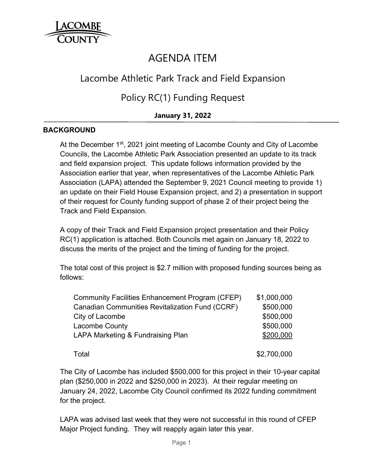

# AGENDA ITEM

## Lacombe Athletic Park Track and Field Expansion

Policy RC(1) Funding Request

### **January 31, 2022**

#### **BACKGROUND**

At the December 1<sup>st</sup>, 2021 joint meeting of Lacombe County and City of Lacombe Councils, the Lacombe Athletic Park Association presented an update to its track and field expansion project. This update follows information provided by the Association earlier that year, when representatives of the Lacombe Athletic Park Association (LAPA) attended the September 9, 2021 Council meeting to provide 1) an update on their Field House Expansion project, and 2) a presentation in support of their request for County funding support of phase 2 of their project being the Track and Field Expansion.

A copy of their Track and Field Expansion project presentation and their Policy RC(1) application is attached. Both Councils met again on January 18, 2022 to discuss the merits of the project and the timing of funding for the project.

The total cost of this project is \$2.7 million with proposed funding sources being as follows:

| Community Facilities Enhancement Program (CFEP)        | \$1,000,000 |
|--------------------------------------------------------|-------------|
| <b>Canadian Communities Revitalization Fund (CCRF)</b> | \$500,000   |
| City of Lacombe                                        | \$500,000   |
| <b>Lacombe County</b>                                  | \$500,000   |
| LAPA Marketing & Fundraising Plan                      | \$200,000   |
| Total                                                  | \$2,700,000 |

The City of Lacombe has included \$500,000 for this project in their 10-year capital plan (\$250,000 in 2022 and \$250,000 in 2023). At their regular meeting on January 24, 2022, Lacombe City Council confirmed its 2022 funding commitment for the project.

LAPA was advised last week that they were not successful in this round of CFEP Major Project funding. They will reapply again later this year.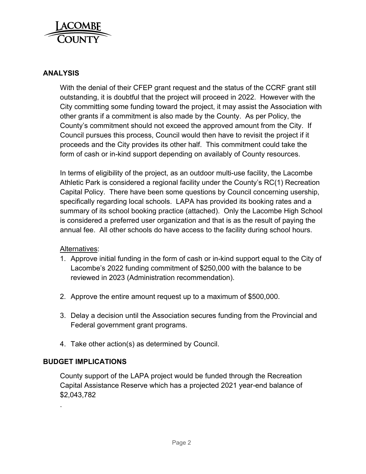

#### **ANALYSIS**

With the denial of their CFEP grant request and the status of the CCRF grant still outstanding, it is doubtful that the project will proceed in 2022. However with the City committing some funding toward the project, it may assist the Association with other grants if a commitment is also made by the County. As per Policy, the County's commitment should not exceed the approved amount from the City. If Council pursues this process, Council would then have to revisit the project if it proceeds and the City provides its other half. This commitment could take the form of cash or in-kind support depending on availably of County resources.

In terms of eligibility of the project, as an outdoor multi-use facility, the Lacombe Athletic Park is considered a regional facility under the County's RC(1) Recreation Capital Policy. There have been some questions by Council concerning usership, specifically regarding local schools. LAPA has provided its booking rates and a summary of its school booking practice (attached). Only the Lacombe High School is considered a preferred user organization and that is as the result of paying the annual fee. All other schools do have access to the facility during school hours.

#### Alternatives:

- 1. Approve initial funding in the form of cash or in-kind support equal to the City of Lacombe's 2022 funding commitment of \$250,000 with the balance to be reviewed in 2023 (Administration recommendation).
- 2. Approve the entire amount request up to a maximum of \$500,000.
- 3. Delay a decision until the Association secures funding from the Provincial and Federal government grant programs.
- 4. Take other action(s) as determined by Council.

#### **BUDGET IMPLICATIONS**

.

County support of the LAPA project would be funded through the Recreation Capital Assistance Reserve which has a projected 2021 year-end balance of \$2,043,782